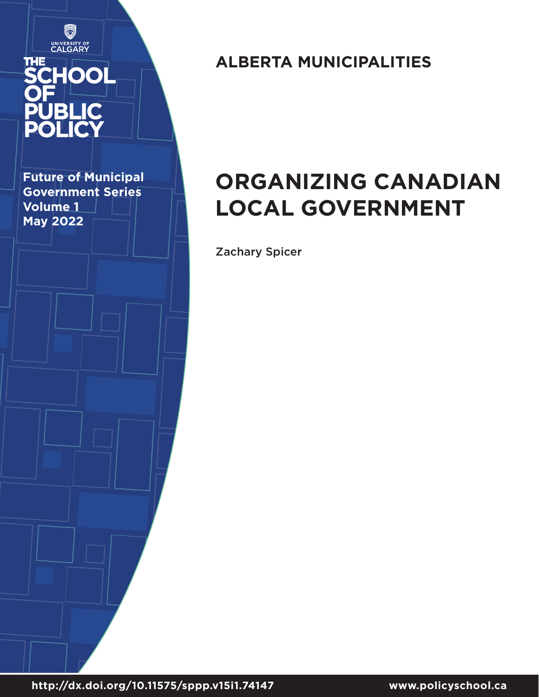

**Future of Municipal Government Series Volume 1 May 2022**

# **ALBERTA MUNICIPALITIES**

# **ORGANIZING CANADIAN LOCAL GOVERNMENT**

Zachary Spicer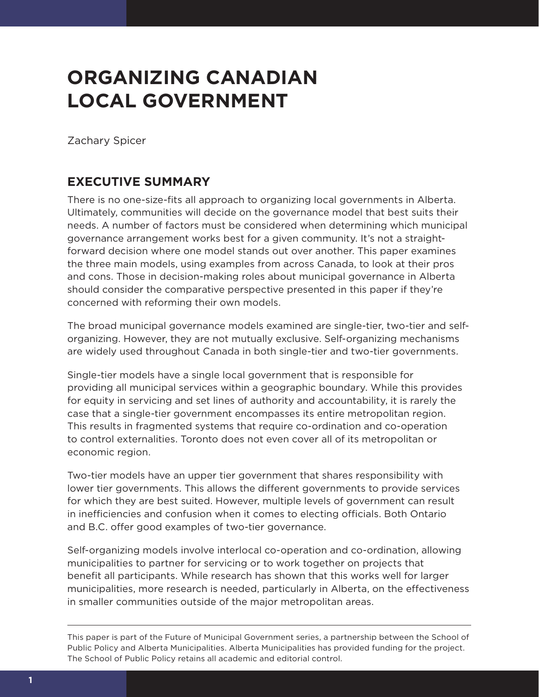# **ORGANIZING CANADIAN LOCAL GOVERNMENT**

Zachary Spicer

# **EXECUTIVE SUMMARY**

There is no one-size-fits all approach to organizing local governments in Alberta. Ultimately, communities will decide on the governance model that best suits their needs. A number of factors must be considered when determining which municipal governance arrangement works best for a given community. It's not a straightforward decision where one model stands out over another. This paper examines the three main models, using examples from across Canada, to look at their pros and cons. Those in decision-making roles about municipal governance in Alberta should consider the comparative perspective presented in this paper if they're concerned with reforming their own models.

The broad municipal governance models examined are single-tier, two-tier and selforganizing. However, they are not mutually exclusive. Self-organizing mechanisms are widely used throughout Canada in both single-tier and two-tier governments.

Single-tier models have a single local government that is responsible for providing all municipal services within a geographic boundary. While this provides for equity in servicing and set lines of authority and accountability, it is rarely the case that a single-tier government encompasses its entire metropolitan region. This results in fragmented systems that require co-ordination and co-operation to control externalities. Toronto does not even cover all of its metropolitan or economic region.

Two-tier models have an upper tier government that shares responsibility with lower tier governments. This allows the different governments to provide services for which they are best suited. However, multiple levels of government can result in inefficiencies and confusion when it comes to electing officials. Both Ontario and B.C. offer good examples of two-tier governance.

Self-organizing models involve interlocal co-operation and co-ordination, allowing municipalities to partner for servicing or to work together on projects that benefit all participants. While research has shown that this works well for larger municipalities, more research is needed, particularly in Alberta, on the effectiveness in smaller communities outside of the major metropolitan areas.

This paper is part of the Future of Municipal Government series, a partnership between the School of Public Policy and Alberta Municipalities. Alberta Municipalities has provided funding for the project. The School of Public Policy retains all academic and editorial control.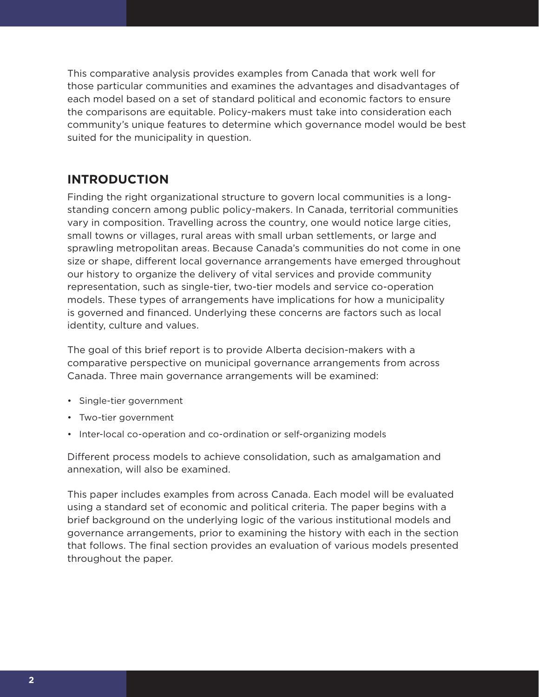This comparative analysis provides examples from Canada that work well for those particular communities and examines the advantages and disadvantages of each model based on a set of standard political and economic factors to ensure the comparisons are equitable. Policy-makers must take into consideration each community's unique features to determine which governance model would be best suited for the municipality in question.

# **INTRODUCTION**

Finding the right organizational structure to govern local communities is a longstanding concern among public policy-makers. In Canada, territorial communities vary in composition. Travelling across the country, one would notice large cities, small towns or villages, rural areas with small urban settlements, or large and sprawling metropolitan areas. Because Canada's communities do not come in one size or shape, different local governance arrangements have emerged throughout our history to organize the delivery of vital services and provide community representation, such as single-tier, two-tier models and service co-operation models. These types of arrangements have implications for how a municipality is governed and financed. Underlying these concerns are factors such as local identity, culture and values.

The goal of this brief report is to provide Alberta decision-makers with a comparative perspective on municipal governance arrangements from across Canada. Three main governance arrangements will be examined:

- Single-tier government
- Two-tier government
- Inter-local co-operation and co-ordination or self-organizing models

Different process models to achieve consolidation, such as amalgamation and annexation, will also be examined.

This paper includes examples from across Canada. Each model will be evaluated using a standard set of economic and political criteria. The paper begins with a brief background on the underlying logic of the various institutional models and governance arrangements, prior to examining the history with each in the section that follows. The final section provides an evaluation of various models presented throughout the paper.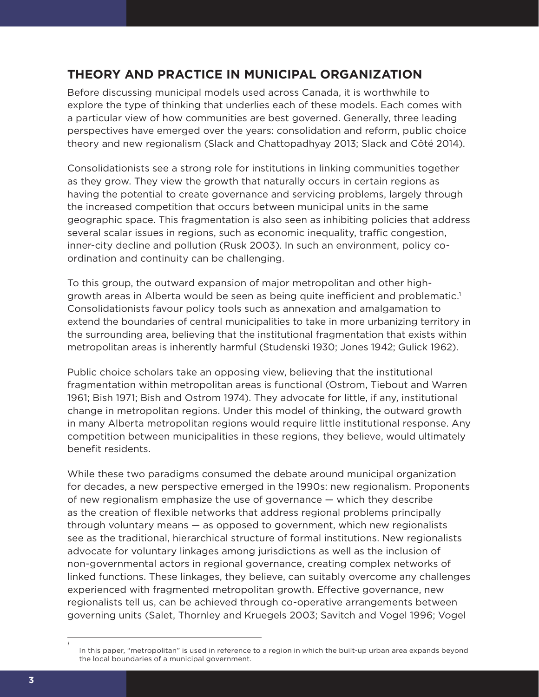# **THEORY AND PRACTICE IN MUNICIPAL ORGANIZATION**

Before discussing municipal models used across Canada, it is worthwhile to explore the type of thinking that underlies each of these models. Each comes with a particular view of how communities are best governed. Generally, three leading perspectives have emerged over the years: consolidation and reform, public choice theory and new regionalism (Slack and Chattopadhyay 2013; Slack and Côté 2014).

Consolidationists see a strong role for institutions in linking communities together as they grow. They view the growth that naturally occurs in certain regions as having the potential to create governance and servicing problems, largely through the increased competition that occurs between municipal units in the same geographic space. This fragmentation is also seen as inhibiting policies that address several scalar issues in regions, such as economic inequality, traffic congestion, inner-city decline and pollution (Rusk 2003). In such an environment, policy coordination and continuity can be challenging.

To this group, the outward expansion of major metropolitan and other highgrowth areas in Alberta would be seen as being quite inefficient and problematic.<sup>1</sup> Consolidationists favour policy tools such as annexation and amalgamation to extend the boundaries of central municipalities to take in more urbanizing territory in the surrounding area, believing that the institutional fragmentation that exists within metropolitan areas is inherently harmful (Studenski 1930; Jones 1942; Gulick 1962).

Public choice scholars take an opposing view, believing that the institutional fragmentation within metropolitan areas is functional (Ostrom, Tiebout and Warren 1961; Bish 1971; Bish and Ostrom 1974). They advocate for little, if any, institutional change in metropolitan regions. Under this model of thinking, the outward growth in many Alberta metropolitan regions would require little institutional response. Any competition between municipalities in these regions, they believe, would ultimately benefit residents.

While these two paradigms consumed the debate around municipal organization for decades, a new perspective emerged in the 1990s: new regionalism. Proponents of new regionalism emphasize the use of governance — which they describe as the creation of flexible networks that address regional problems principally through voluntary means — as opposed to government, which new regionalists see as the traditional, hierarchical structure of formal institutions. New regionalists advocate for voluntary linkages among jurisdictions as well as the inclusion of non-governmental actors in regional governance, creating complex networks of linked functions. These linkages, they believe, can suitably overcome any challenges experienced with fragmented metropolitan growth. Effective governance, new regionalists tell us, can be achieved through co-operative arrangements between governing units (Salet, Thornley and Kruegels 2003; Savitch and Vogel 1996; Vogel

*1*

In this paper, "metropolitan" is used in reference to a region in which the built-up urban area expands beyond the local boundaries of a municipal government.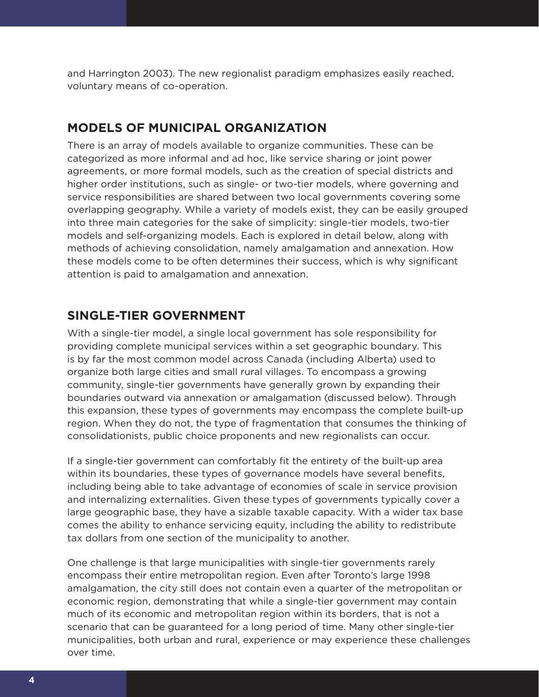and Harrington 2003). The new regionalist paradigm emphasizes easily reached, voluntary means of co-operation.

## **MODELS OF MUNICIPAL ORGANIZATION**

There is an array of models available to organize communities. These can be categorized as more informal and ad hoc, like service sharing or joint power agreements, or more formal models, such as the creation of special districts and higher order institutions, such as single- or two-tier models, where governing and service responsibilities are shared between two local governments covering some overlapping geography. While a variety of models exist, they can be easily grouped into three main categories for the sake of simplicity: single-tier models, two-tier models and self-organizing models. Each is explored in detail below, along with methods of achieving consolidation, namely amalgamation and annexation. How these models come to be often determines their success, which is why significant attention is paid to amalgamation and annexation.

### **SINGLE-TIER GOVERNMENT**

With a single-tier model, a single local government has sole responsibility for providing complete municipal services within a set geographic boundary. This is by far the most common model across Canada (including Alberta) used to organize both large cities and small rural villages. To encompass a growing community, single-tier governments have generally grown by expanding their boundaries outward via annexation or amalgamation (discussed below). Through this expansion, these types of governments may encompass the complete built-up region. When they do not, the type of fragmentation that consumes the thinking of consolidationists, public choice proponents and new regionalists can occur.

If a single-tier government can comfortably fit the entirety of the built-up area within its boundaries, these types of governance models have several benefits, including being able to take advantage of economies of scale in service provision and internalizing externalities. Given these types of governments typically cover a large geographic base, they have a sizable taxable capacity. With a wider tax base comes the ability to enhance servicing equity, including the ability to redistribute tax dollars from one section of the municipality to another.

One challenge is that large municipalities with single-tier governments rarely encompass their entire metropolitan region. Even after Toronto's large 1998 amalgamation, the city still does not contain even a quarter of the metropolitan or economic region, demonstrating that while a single-tier government may contain much of its economic and metropolitan region within its borders, that is not a scenario that can be guaranteed for a long period of time. Many other single-tier municipalities, both urban and rural, experience or may experience these challenges over time.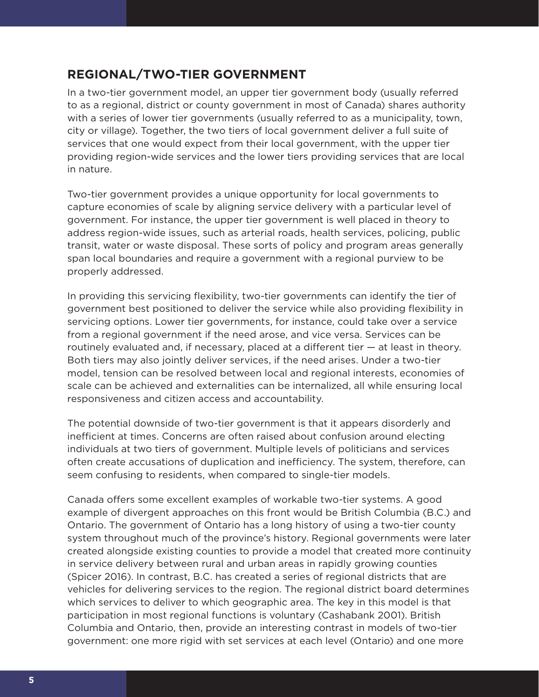## **REGIONAL/TWO-TIER GOVERNMENT**

In a two-tier government model, an upper tier government body (usually referred to as a regional, district or county government in most of Canada) shares authority with a series of lower tier governments (usually referred to as a municipality, town, city or village). Together, the two tiers of local government deliver a full suite of services that one would expect from their local government, with the upper tier providing region-wide services and the lower tiers providing services that are local in nature.

Two-tier government provides a unique opportunity for local governments to capture economies of scale by aligning service delivery with a particular level of government. For instance, the upper tier government is well placed in theory to address region-wide issues, such as arterial roads, health services, policing, public transit, water or waste disposal. These sorts of policy and program areas generally span local boundaries and require a government with a regional purview to be properly addressed.

In providing this servicing flexibility, two-tier governments can identify the tier of government best positioned to deliver the service while also providing flexibility in servicing options. Lower tier governments, for instance, could take over a service from a regional government if the need arose, and vice versa. Services can be routinely evaluated and, if necessary, placed at a different tier — at least in theory. Both tiers may also jointly deliver services, if the need arises. Under a two-tier model, tension can be resolved between local and regional interests, economies of scale can be achieved and externalities can be internalized, all while ensuring local responsiveness and citizen access and accountability.

The potential downside of two-tier government is that it appears disorderly and inefficient at times. Concerns are often raised about confusion around electing individuals at two tiers of government. Multiple levels of politicians and services often create accusations of duplication and inefficiency. The system, therefore, can seem confusing to residents, when compared to single-tier models.

Canada offers some excellent examples of workable two-tier systems. A good example of divergent approaches on this front would be British Columbia (B.C.) and Ontario. The government of Ontario has a long history of using a two-tier county system throughout much of the province's history. Regional governments were later created alongside existing counties to provide a model that created more continuity in service delivery between rural and urban areas in rapidly growing counties (Spicer 2016). In contrast, B.C. has created a series of regional districts that are vehicles for delivering services to the region. The regional district board determines which services to deliver to which geographic area. The key in this model is that participation in most regional functions is voluntary (Cashabank 2001). British Columbia and Ontario, then, provide an interesting contrast in models of two-tier government: one more rigid with set services at each level (Ontario) and one more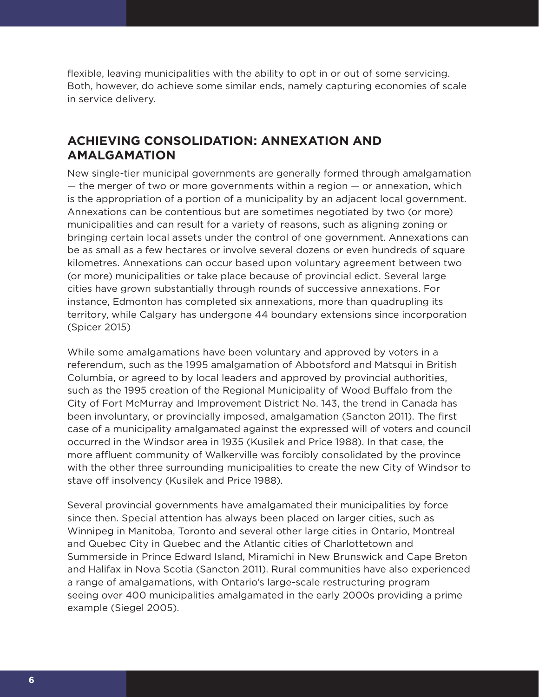flexible, leaving municipalities with the ability to opt in or out of some servicing. Both, however, do achieve some similar ends, namely capturing economies of scale in service delivery.

# **ACHIEVING CONSOLIDATION: ANNEXATION AND AMALGAMATION**

New single-tier municipal governments are generally formed through amalgamation — the merger of two or more governments within a region — or annexation, which is the appropriation of a portion of a municipality by an adjacent local government. Annexations can be contentious but are sometimes negotiated by two (or more) municipalities and can result for a variety of reasons, such as aligning zoning or bringing certain local assets under the control of one government. Annexations can be as small as a few hectares or involve several dozens or even hundreds of square kilometres. Annexations can occur based upon voluntary agreement between two (or more) municipalities or take place because of provincial edict. Several large cities have grown substantially through rounds of successive annexations. For instance, Edmonton has completed six annexations, more than quadrupling its territory, while Calgary has undergone 44 boundary extensions since incorporation (Spicer 2015)

While some amalgamations have been voluntary and approved by voters in a referendum, such as the 1995 amalgamation of Abbotsford and Matsqui in British Columbia, or agreed to by local leaders and approved by provincial authorities, such as the 1995 creation of the Regional Municipality of Wood Buffalo from the City of Fort McMurray and Improvement District No. 143, the trend in Canada has been involuntary, or provincially imposed, amalgamation (Sancton 2011). The first case of a municipality amalgamated against the expressed will of voters and council occurred in the Windsor area in 1935 (Kusilek and Price 1988). In that case, the more affluent community of Walkerville was forcibly consolidated by the province with the other three surrounding municipalities to create the new City of Windsor to stave off insolvency (Kusilek and Price 1988).

Several provincial governments have amalgamated their municipalities by force since then. Special attention has always been placed on larger cities, such as Winnipeg in Manitoba, Toronto and several other large cities in Ontario, Montreal and Quebec City in Quebec and the Atlantic cities of Charlottetown and Summerside in Prince Edward Island, Miramichi in New Brunswick and Cape Breton and Halifax in Nova Scotia (Sancton 2011). Rural communities have also experienced a range of amalgamations, with Ontario's large-scale restructuring program seeing over 400 municipalities amalgamated in the early 2000s providing a prime example (Siegel 2005).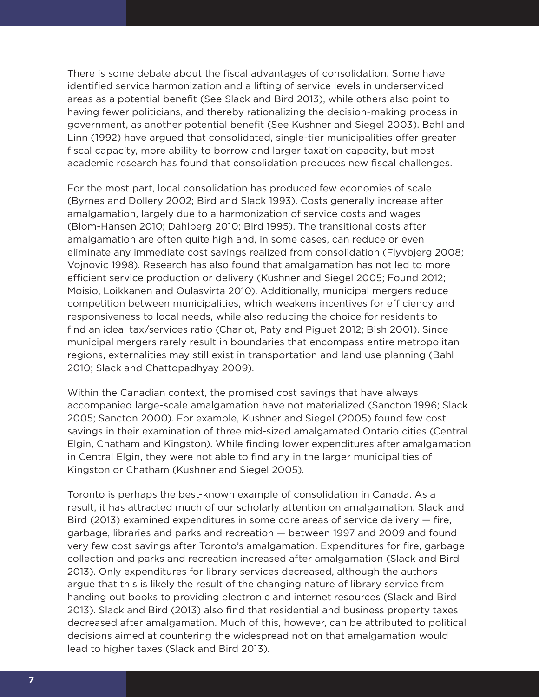There is some debate about the fiscal advantages of consolidation. Some have identified service harmonization and a lifting of service levels in underserviced areas as a potential benefit (See Slack and Bird 2013), while others also point to having fewer politicians, and thereby rationalizing the decision-making process in government, as another potential benefit (See Kushner and Siegel 2003). Bahl and Linn (1992) have argued that consolidated, single-tier municipalities offer greater fiscal capacity, more ability to borrow and larger taxation capacity, but most academic research has found that consolidation produces new fiscal challenges.

For the most part, local consolidation has produced few economies of scale (Byrnes and Dollery 2002; Bird and Slack 1993). Costs generally increase after amalgamation, largely due to a harmonization of service costs and wages (Blom-Hansen 2010; Dahlberg 2010; Bird 1995). The transitional costs after amalgamation are often quite high and, in some cases, can reduce or even eliminate any immediate cost savings realized from consolidation (Flyvbjerg 2008; Vojnovic 1998). Research has also found that amalgamation has not led to more efficient service production or delivery (Kushner and Siegel 2005; Found 2012; Moisio, Loikkanen and Oulasvirta 2010). Additionally, municipal mergers reduce competition between municipalities, which weakens incentives for efficiency and responsiveness to local needs, while also reducing the choice for residents to find an ideal tax/services ratio (Charlot, Paty and Piguet 2012; Bish 2001). Since municipal mergers rarely result in boundaries that encompass entire metropolitan regions, externalities may still exist in transportation and land use planning (Bahl 2010; Slack and Chattopadhyay 2009).

Within the Canadian context, the promised cost savings that have always accompanied large-scale amalgamation have not materialized (Sancton 1996; Slack 2005; Sancton 2000). For example, Kushner and Siegel (2005) found few cost savings in their examination of three mid-sized amalgamated Ontario cities (Central Elgin, Chatham and Kingston). While finding lower expenditures after amalgamation in Central Elgin, they were not able to find any in the larger municipalities of Kingston or Chatham (Kushner and Siegel 2005).

Toronto is perhaps the best-known example of consolidation in Canada. As a result, it has attracted much of our scholarly attention on amalgamation. Slack and Bird (2013) examined expenditures in some core areas of service delivery — fire, garbage, libraries and parks and recreation — between 1997 and 2009 and found very few cost savings after Toronto's amalgamation. Expenditures for fire, garbage collection and parks and recreation increased after amalgamation (Slack and Bird 2013). Only expenditures for library services decreased, although the authors argue that this is likely the result of the changing nature of library service from handing out books to providing electronic and internet resources (Slack and Bird 2013). Slack and Bird (2013) also find that residential and business property taxes decreased after amalgamation. Much of this, however, can be attributed to political decisions aimed at countering the widespread notion that amalgamation would lead to higher taxes (Slack and Bird 2013).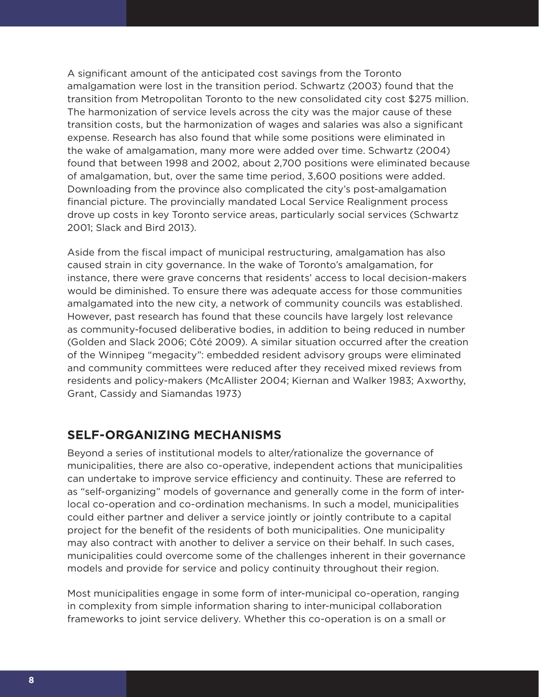A significant amount of the anticipated cost savings from the Toronto amalgamation were lost in the transition period. Schwartz (2003) found that the transition from Metropolitan Toronto to the new consolidated city cost \$275 million. The harmonization of service levels across the city was the major cause of these transition costs, but the harmonization of wages and salaries was also a significant expense. Research has also found that while some positions were eliminated in the wake of amalgamation, many more were added over time. Schwartz (2004) found that between 1998 and 2002, about 2,700 positions were eliminated because of amalgamation, but, over the same time period, 3,600 positions were added. Downloading from the province also complicated the city's post-amalgamation financial picture. The provincially mandated Local Service Realignment process drove up costs in key Toronto service areas, particularly social services (Schwartz 2001; Slack and Bird 2013).

Aside from the fiscal impact of municipal restructuring, amalgamation has also caused strain in city governance. In the wake of Toronto's amalgamation, for instance, there were grave concerns that residents' access to local decision-makers would be diminished. To ensure there was adequate access for those communities amalgamated into the new city, a network of community councils was established. However, past research has found that these councils have largely lost relevance as community-focused deliberative bodies, in addition to being reduced in number (Golden and Slack 2006; Côté 2009). A similar situation occurred after the creation of the Winnipeg "megacity": embedded resident advisory groups were eliminated and community committees were reduced after they received mixed reviews from residents and policy-makers (McAllister 2004; Kiernan and Walker 1983; Axworthy, Grant, Cassidy and Siamandas 1973)

### **SELF-ORGANIZING MECHANISMS**

Beyond a series of institutional models to alter/rationalize the governance of municipalities, there are also co-operative, independent actions that municipalities can undertake to improve service efficiency and continuity. These are referred to as "self-organizing" models of governance and generally come in the form of interlocal co-operation and co-ordination mechanisms. In such a model, municipalities could either partner and deliver a service jointly or jointly contribute to a capital project for the benefit of the residents of both municipalities. One municipality may also contract with another to deliver a service on their behalf. In such cases, municipalities could overcome some of the challenges inherent in their governance models and provide for service and policy continuity throughout their region.

Most municipalities engage in some form of inter-municipal co-operation, ranging in complexity from simple information sharing to inter-municipal collaboration frameworks to joint service delivery. Whether this co-operation is on a small or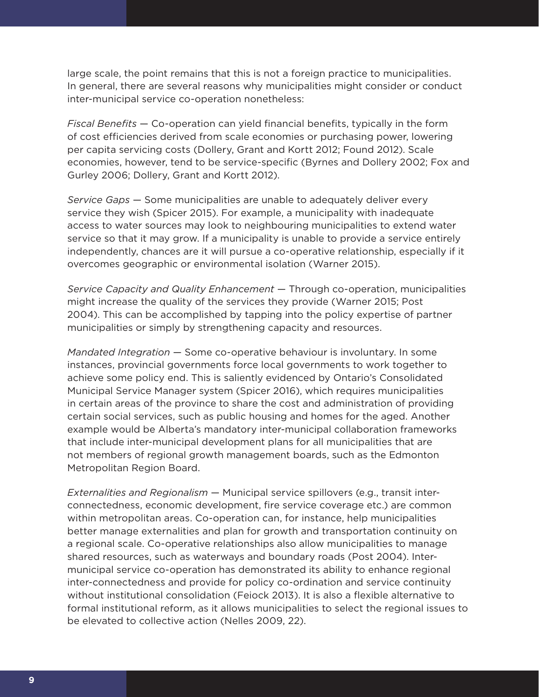large scale, the point remains that this is not a foreign practice to municipalities. In general, there are several reasons why municipalities might consider or conduct inter-municipal service co-operation nonetheless:

*Fiscal Benefits* — Co-operation can yield financial benefits, typically in the form of cost efficiencies derived from scale economies or purchasing power, lowering per capita servicing costs (Dollery, Grant and Kortt 2012; Found 2012). Scale economies, however, tend to be service-specific (Byrnes and Dollery 2002; Fox and Gurley 2006; Dollery, Grant and Kortt 2012).

*Service Gaps* — Some municipalities are unable to adequately deliver every service they wish (Spicer 2015). For example, a municipality with inadequate access to water sources may look to neighbouring municipalities to extend water service so that it may grow. If a municipality is unable to provide a service entirely independently, chances are it will pursue a co-operative relationship, especially if it overcomes geographic or environmental isolation (Warner 2015).

*Service Capacity and Quality Enhancement* — Through co-operation, municipalities might increase the quality of the services they provide (Warner 2015; Post 2004). This can be accomplished by tapping into the policy expertise of partner municipalities or simply by strengthening capacity and resources.

*Mandated Integration* — Some co-operative behaviour is involuntary. In some instances, provincial governments force local governments to work together to achieve some policy end. This is saliently evidenced by Ontario's Consolidated Municipal Service Manager system (Spicer 2016), which requires municipalities in certain areas of the province to share the cost and administration of providing certain social services, such as public housing and homes for the aged. Another example would be Alberta's mandatory inter-municipal collaboration frameworks that include inter-municipal development plans for all municipalities that are not members of regional growth management boards, such as the Edmonton Metropolitan Region Board.

*Externalities and Regionalism* — Municipal service spillovers (e.g., transit interconnectedness, economic development, fire service coverage etc.) are common within metropolitan areas. Co-operation can, for instance, help municipalities better manage externalities and plan for growth and transportation continuity on a regional scale. Co-operative relationships also allow municipalities to manage shared resources, such as waterways and boundary roads (Post 2004). Intermunicipal service co-operation has demonstrated its ability to enhance regional inter-connectedness and provide for policy co-ordination and service continuity without institutional consolidation (Feiock 2013). It is also a flexible alternative to formal institutional reform, as it allows municipalities to select the regional issues to be elevated to collective action (Nelles 2009, 22).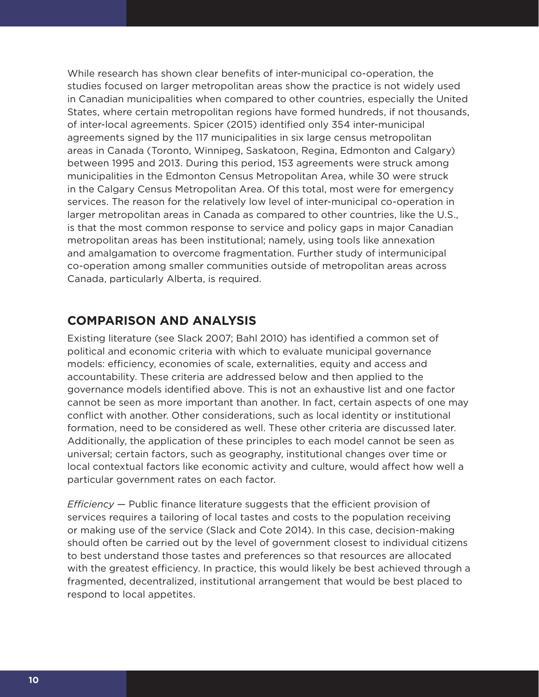While research has shown clear benefits of inter-municipal co-operation, the studies focused on larger metropolitan areas show the practice is not widely used in Canadian municipalities when compared to other countries, especially the United States, where certain metropolitan regions have formed hundreds, if not thousands, of inter-local agreements. Spicer (2015) identified only 354 inter-municipal agreements signed by the 117 municipalities in six large census metropolitan areas in Canada (Toronto, Winnipeg, Saskatoon, Regina, Edmonton and Calgary) between 1995 and 2013. During this period, 153 agreements were struck among municipalities in the Edmonton Census Metropolitan Area, while 30 were struck in the Calgary Census Metropolitan Area. Of this total, most were for emergency services. The reason for the relatively low level of inter-municipal co-operation in larger metropolitan areas in Canada as compared to other countries, like the U.S., is that the most common response to service and policy gaps in major Canadian metropolitan areas has been institutional; namely, using tools like annexation and amalgamation to overcome fragmentation. Further study of intermunicipal co-operation among smaller communities outside of metropolitan areas across Canada, particularly Alberta, is required.

## **COMPARISON AND ANALYSIS**

Existing literature (see Slack 2007; Bahl 2010) has identified a common set of political and economic criteria with which to evaluate municipal governance models: efficiency, economies of scale, externalities, equity and access and accountability. These criteria are addressed below and then applied to the governance models identified above. This is not an exhaustive list and one factor cannot be seen as more important than another. In fact, certain aspects of one may conflict with another. Other considerations, such as local identity or institutional formation, need to be considered as well. These other criteria are discussed later. Additionally, the application of these principles to each model cannot be seen as universal; certain factors, such as geography, institutional changes over time or local contextual factors like economic activity and culture, would affect how well a particular government rates on each factor.

*Efficiency* — Public finance literature suggests that the efficient provision of services requires a tailoring of local tastes and costs to the population receiving or making use of the service (Slack and Cote 2014). In this case, decision-making should often be carried out by the level of government closest to individual citizens to best understand those tastes and preferences so that resources are allocated with the greatest efficiency. In practice, this would likely be best achieved through a fragmented, decentralized, institutional arrangement that would be best placed to respond to local appetites.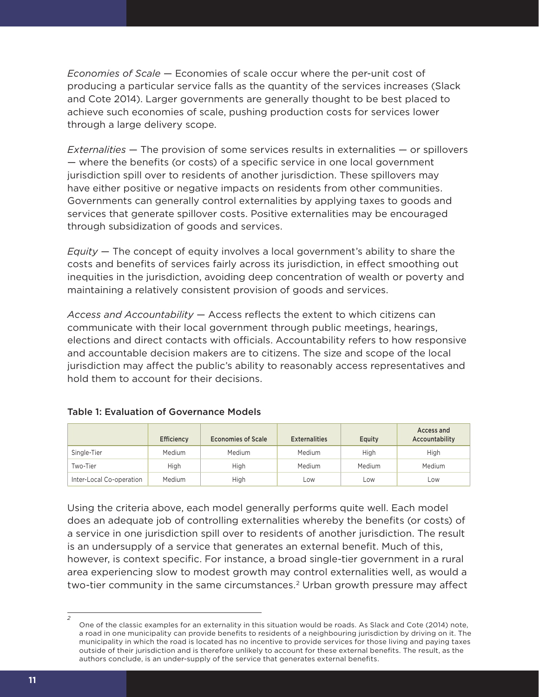*Economies of Scale* — Economies of scale occur where the per-unit cost of producing a particular service falls as the quantity of the services increases (Slack and Cote 2014). Larger governments are generally thought to be best placed to achieve such economies of scale, pushing production costs for services lower through a large delivery scope.

*Externalities* — The provision of some services results in externalities — or spillovers — where the benefits (or costs) of a specific service in one local government jurisdiction spill over to residents of another jurisdiction. These spillovers may have either positive or negative impacts on residents from other communities. Governments can generally control externalities by applying taxes to goods and services that generate spillover costs. Positive externalities may be encouraged through subsidization of goods and services.

*Equity* — The concept of equity involves a local government's ability to share the costs and benefits of services fairly across its jurisdiction, in effect smoothing out inequities in the jurisdiction, avoiding deep concentration of wealth or poverty and maintaining a relatively consistent provision of goods and services.

*Access and Accountability* — Access reflects the extent to which citizens can communicate with their local government through public meetings, hearings, elections and direct contacts with officials. Accountability refers to how responsive and accountable decision makers are to citizens. The size and scope of the local jurisdiction may affect the public's ability to reasonably access representatives and hold them to account for their decisions.

|                          | Efficiency | <b>Economies of Scale</b> | <b>Externalities</b> | Equity | Access and<br>Accountability |
|--------------------------|------------|---------------------------|----------------------|--------|------------------------------|
| Single-Tier              | Medium     | Medium                    | Medium               | High   | High                         |
| Two-Tier                 | High       | High                      | Medium               | Medium | Medium                       |
| Inter-Local Co-operation | Medium     | High                      | Low                  | Low    | Low                          |

### Table 1: Evaluation of Governance Models

Using the criteria above, each model generally performs quite well. Each model does an adequate job of controlling externalities whereby the benefits (or costs) of a service in one jurisdiction spill over to residents of another jurisdiction. The result is an undersupply of a service that generates an external benefit. Much of this, however, is context specific. For instance, a broad single-tier government in a rural area experiencing slow to modest growth may control externalities well, as would a two-tier community in the same circumstances.<sup>2</sup> Urban growth pressure may affect

*2*

One of the classic examples for an externality in this situation would be roads. As Slack and Cote (2014) note, a road in one municipality can provide benefits to residents of a neighbouring jurisdiction by driving on it. The municipality in which the road is located has no incentive to provide services for those living and paying taxes outside of their jurisdiction and is therefore unlikely to account for these external benefits. The result, as the authors conclude, is an under-supply of the service that generates external benefits.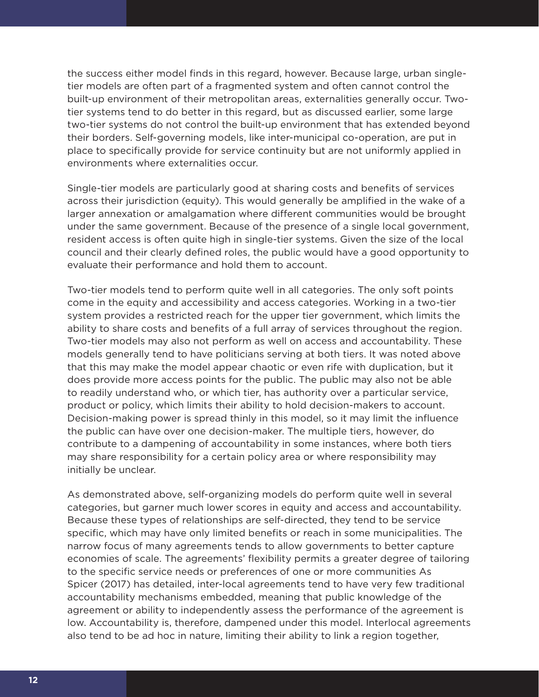the success either model finds in this regard, however. Because large, urban singletier models are often part of a fragmented system and often cannot control the built-up environment of their metropolitan areas, externalities generally occur. Twotier systems tend to do better in this regard, but as discussed earlier, some large two-tier systems do not control the built-up environment that has extended beyond their borders. Self-governing models, like inter-municipal co-operation, are put in place to specifically provide for service continuity but are not uniformly applied in environments where externalities occur.

Single-tier models are particularly good at sharing costs and benefits of services across their jurisdiction (equity). This would generally be amplified in the wake of a larger annexation or amalgamation where different communities would be brought under the same government. Because of the presence of a single local government, resident access is often quite high in single-tier systems. Given the size of the local council and their clearly defined roles, the public would have a good opportunity to evaluate their performance and hold them to account.

Two-tier models tend to perform quite well in all categories. The only soft points come in the equity and accessibility and access categories. Working in a two-tier system provides a restricted reach for the upper tier government, which limits the ability to share costs and benefits of a full array of services throughout the region. Two-tier models may also not perform as well on access and accountability. These models generally tend to have politicians serving at both tiers. It was noted above that this may make the model appear chaotic or even rife with duplication, but it does provide more access points for the public. The public may also not be able to readily understand who, or which tier, has authority over a particular service, product or policy, which limits their ability to hold decision-makers to account. Decision-making power is spread thinly in this model, so it may limit the influence the public can have over one decision-maker. The multiple tiers, however, do contribute to a dampening of accountability in some instances, where both tiers may share responsibility for a certain policy area or where responsibility may initially be unclear.

As demonstrated above, self-organizing models do perform quite well in several categories, but garner much lower scores in equity and access and accountability. Because these types of relationships are self-directed, they tend to be service specific, which may have only limited benefits or reach in some municipalities. The narrow focus of many agreements tends to allow governments to better capture economies of scale. The agreements' flexibility permits a greater degree of tailoring to the specific service needs or preferences of one or more communities As Spicer (2017) has detailed, inter-local agreements tend to have very few traditional accountability mechanisms embedded, meaning that public knowledge of the agreement or ability to independently assess the performance of the agreement is low. Accountability is, therefore, dampened under this model. Interlocal agreements also tend to be ad hoc in nature, limiting their ability to link a region together,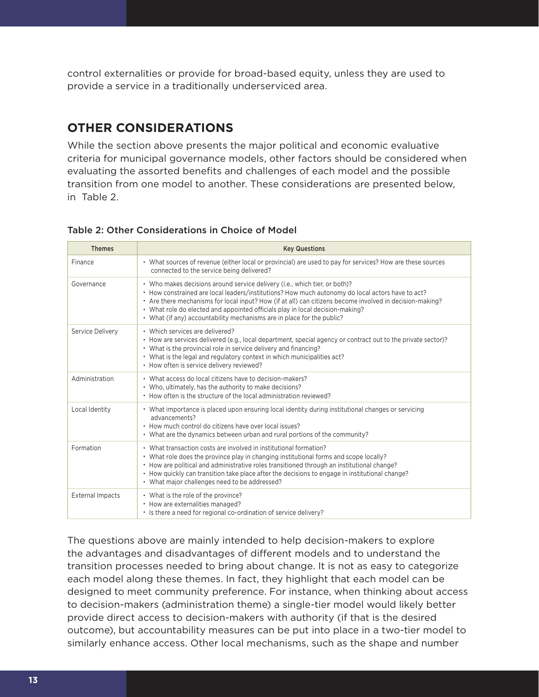control externalities or provide for broad-based equity, unless they are used to provide a service in a traditionally underserviced area.

# **OTHER CONSIDERATIONS**

While the section above presents the major political and economic evaluative criteria for municipal governance models, other factors should be considered when evaluating the assorted benefits and challenges of each model and the possible transition from one model to another. These considerations are presented below, in Table 2.

### Table 2: Other Considerations in Choice of Model

| <b>Themes</b>           | <b>Key Questions</b>                                                                                                                                                                                                                                                                                                                                                                                                                                  |
|-------------------------|-------------------------------------------------------------------------------------------------------------------------------------------------------------------------------------------------------------------------------------------------------------------------------------------------------------------------------------------------------------------------------------------------------------------------------------------------------|
| Finance                 | • What sources of revenue (either local or provincial) are used to pay for services? How are these sources<br>connected to the service being delivered?                                                                                                                                                                                                                                                                                               |
| Governance              | • Who makes decisions around service delivery (i.e., which tier, or both)?<br>• How constrained are local leaders/institutions? How much autonomy do local actors have to act?<br>• Are there mechanisms for local input? How (if at all) can citizens become involved in decision-making?<br>• What role do elected and appointed officials play in local decision-making?<br>• What (if any) accountability mechanisms are in place for the public? |
| Service Delivery        | • Which services are delivered?<br>• How are services delivered (e.g., local department, special agency or contract out to the private sector)?<br>• What is the provincial role in service delivery and financing?<br>• What is the legal and regulatory context in which municipalities act?<br>• How often is service delivery reviewed?                                                                                                           |
| Administration          | • What access do local citizens have to decision-makers?<br>• Who, ultimately, has the authority to make decisions?<br>• How often is the structure of the local administration reviewed?                                                                                                                                                                                                                                                             |
| Local Identity          | • What importance is placed upon ensuring local identity during institutional changes or servicing<br>advancements?<br>• How much control do citizens have over local issues?<br>• What are the dynamics between urban and rural portions of the community?                                                                                                                                                                                           |
| Formation               | • What transaction costs are involved in institutional formation?<br>• What role does the province play in changing institutional forms and scope locally?<br>• How are political and administrative roles transitioned through an institutional change?<br>• How quickly can transition take place after the decisions to engage in institutional change?<br>• What major challenges need to be addressed?                                           |
| <b>External Impacts</b> | • What is the role of the province?<br>• How are externalities managed?<br>• Is there a need for regional co-ordination of service delivery?                                                                                                                                                                                                                                                                                                          |

The questions above are mainly intended to help decision-makers to explore the advantages and disadvantages of different models and to understand the transition processes needed to bring about change. It is not as easy to categorize each model along these themes. In fact, they highlight that each model can be designed to meet community preference. For instance, when thinking about access to decision-makers (administration theme) a single-tier model would likely better provide direct access to decision-makers with authority (if that is the desired outcome), but accountability measures can be put into place in a two-tier model to similarly enhance access. Other local mechanisms, such as the shape and number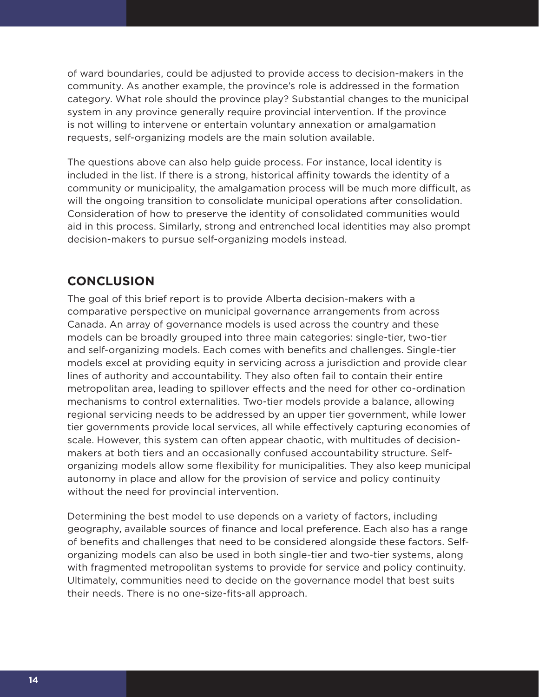of ward boundaries, could be adjusted to provide access to decision-makers in the community. As another example, the province's role is addressed in the formation category. What role should the province play? Substantial changes to the municipal system in any province generally require provincial intervention. If the province is not willing to intervene or entertain voluntary annexation or amalgamation requests, self-organizing models are the main solution available.

The questions above can also help guide process. For instance, local identity is included in the list. If there is a strong, historical affinity towards the identity of a community or municipality, the amalgamation process will be much more difficult, as will the ongoing transition to consolidate municipal operations after consolidation. Consideration of how to preserve the identity of consolidated communities would aid in this process. Similarly, strong and entrenched local identities may also prompt decision-makers to pursue self-organizing models instead.

## **CONCLUSION**

The goal of this brief report is to provide Alberta decision-makers with a comparative perspective on municipal governance arrangements from across Canada. An array of governance models is used across the country and these models can be broadly grouped into three main categories: single-tier, two-tier and self-organizing models. Each comes with benefits and challenges. Single-tier models excel at providing equity in servicing across a jurisdiction and provide clear lines of authority and accountability. They also often fail to contain their entire metropolitan area, leading to spillover effects and the need for other co-ordination mechanisms to control externalities. Two-tier models provide a balance, allowing regional servicing needs to be addressed by an upper tier government, while lower tier governments provide local services, all while effectively capturing economies of scale. However, this system can often appear chaotic, with multitudes of decisionmakers at both tiers and an occasionally confused accountability structure. Selforganizing models allow some flexibility for municipalities. They also keep municipal autonomy in place and allow for the provision of service and policy continuity without the need for provincial intervention.

Determining the best model to use depends on a variety of factors, including geography, available sources of finance and local preference. Each also has a range of benefits and challenges that need to be considered alongside these factors. Selforganizing models can also be used in both single-tier and two-tier systems, along with fragmented metropolitan systems to provide for service and policy continuity. Ultimately, communities need to decide on the governance model that best suits their needs. There is no one-size-fits-all approach.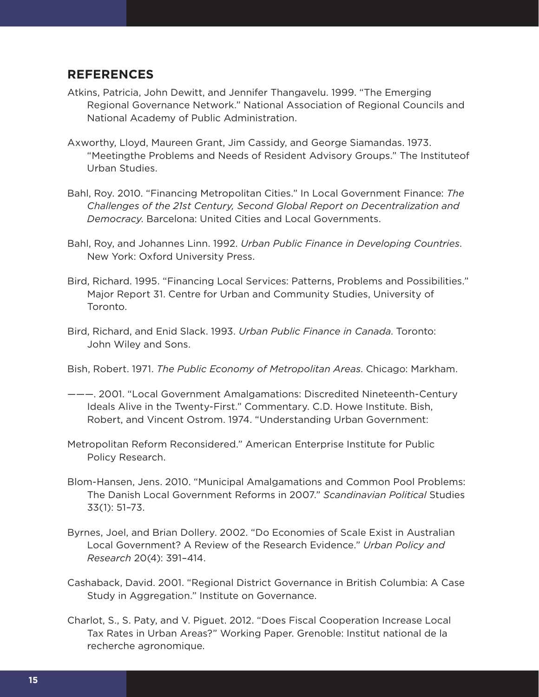### **REFERENCES**

- Atkins, Patricia, John Dewitt, and Jennifer Thangavelu. 1999. "The Emerging Regional Governance Network." National Association of Regional Councils and National Academy of Public Administration.
- Axworthy, Lloyd, Maureen Grant, Jim Cassidy, and George Siamandas. 1973. "Meetingthe Problems and Needs of Resident Advisory Groups." The Instituteof Urban Studies.
- Bahl, Roy. 2010. "Financing Metropolitan Cities." In Local Government Finance: *The Challenges of the 21st Century, Second Global Report on Decentralization and Democracy*. Barcelona: United Cities and Local Governments.
- Bahl, Roy, and Johannes Linn. 1992. *Urban Public Finance in Developing Countries*. New York: Oxford University Press.
- Bird, Richard. 1995. "Financing Local Services: Patterns, Problems and Possibilities." Major Report 31. Centre for Urban and Community Studies, University of Toronto.
- Bird, Richard, and Enid Slack. 1993. *Urban Public Finance in Canada*. Toronto: John Wiley and Sons.

Bish, Robert. 1971. *The Public Economy of Metropolitan Areas*. Chicago: Markham.

- ———. 2001. "Local Government Amalgamations: Discredited Nineteenth-Century Ideals Alive in the Twenty-First." Commentary. C.D. Howe Institute. Bish, Robert, and Vincent Ostrom. 1974. "Understanding Urban Government:
- Metropolitan Reform Reconsidered." American Enterprise Institute for Public Policy Research.
- Blom-Hansen, Jens. 2010. "Municipal Amalgamations and Common Pool Problems: The Danish Local Government Reforms in 2007." *Scandinavian Political* Studies 33(1): 51–73.
- Byrnes, Joel, and Brian Dollery. 2002. "Do Economies of Scale Exist in Australian Local Government? A Review of the Research Evidence." *Urban Policy and Research* 20(4): 391–414.
- Cashaback, David. 2001. "Regional District Governance in British Columbia: A Case Study in Aggregation." Institute on Governance.
- Charlot, S., S. Paty, and V. Piguet. 2012. "Does Fiscal Cooperation Increase Local Tax Rates in Urban Areas?" Working Paper. Grenoble: Institut national de la recherche agronomique.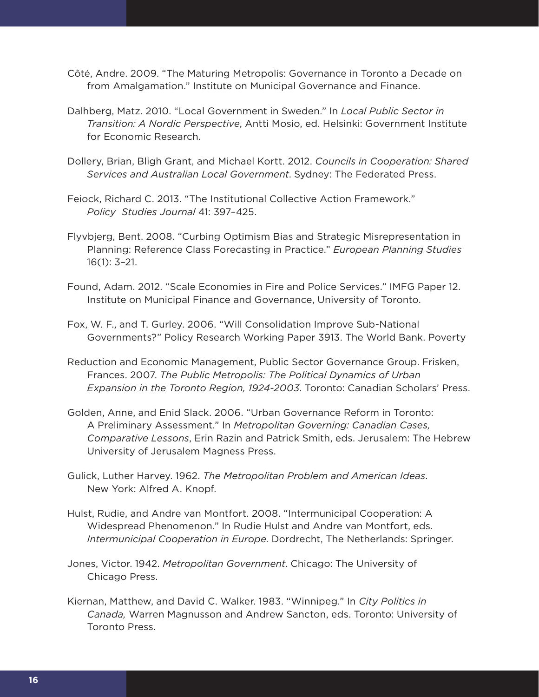- Côté, Andre. 2009. "The Maturing Metropolis: Governance in Toronto a Decade on from Amalgamation." Institute on Municipal Governance and Finance.
- Dalhberg, Matz. 2010. "Local Government in Sweden." In *Local Public Sector in Transition: A Nordic Perspective*, Antti Mosio, ed. Helsinki: Government Institute for Economic Research.
- Dollery, Brian, Bligh Grant, and Michael Kortt. 2012. *Councils in Cooperation: Shared Services and Australian Local Government*. Sydney: The Federated Press.
- Feiock, Richard C. 2013. "The Institutional Collective Action Framework." *Policy Studies Journal* 41: 397–425.
- Flyvbjerg, Bent. 2008. "Curbing Optimism Bias and Strategic Misrepresentation in Planning: Reference Class Forecasting in Practice." *European Planning Studies* 16(1): 3–21.
- Found, Adam. 2012. "Scale Economies in Fire and Police Services." IMFG Paper 12. Institute on Municipal Finance and Governance, University of Toronto.
- Fox, W. F., and T. Gurley. 2006. "Will Consolidation Improve Sub-National Governments?" Policy Research Working Paper 3913. The World Bank. Poverty
- Reduction and Economic Management, Public Sector Governance Group. Frisken, Frances. 2007. *The Public Metropolis: The Political Dynamics of Urban Expansion in the Toronto Region, 1924-2003*. Toronto: Canadian Scholars' Press.
- Golden, Anne, and Enid Slack. 2006. "Urban Governance Reform in Toronto: A Preliminary Assessment." In *Metropolitan Governing: Canadian Cases, Comparative Lessons*, Erin Razin and Patrick Smith, eds. Jerusalem: The Hebrew University of Jerusalem Magness Press.
- Gulick, Luther Harvey. 1962. *The Metropolitan Problem and American Ideas*. New York: Alfred A. Knopf.
- Hulst, Rudie, and Andre van Montfort. 2008. "Intermunicipal Cooperation: A Widespread Phenomenon." In Rudie Hulst and Andre van Montfort, eds. *Intermunicipal Cooperation in Europe*. Dordrecht, The Netherlands: Springer.
- Jones, Victor. 1942. *Metropolitan Government*. Chicago: The University of Chicago Press.
- Kiernan, Matthew, and David C. Walker. 1983. "Winnipeg." In *City Politics in Canada,* Warren Magnusson and Andrew Sancton, eds. Toronto: University of Toronto Press.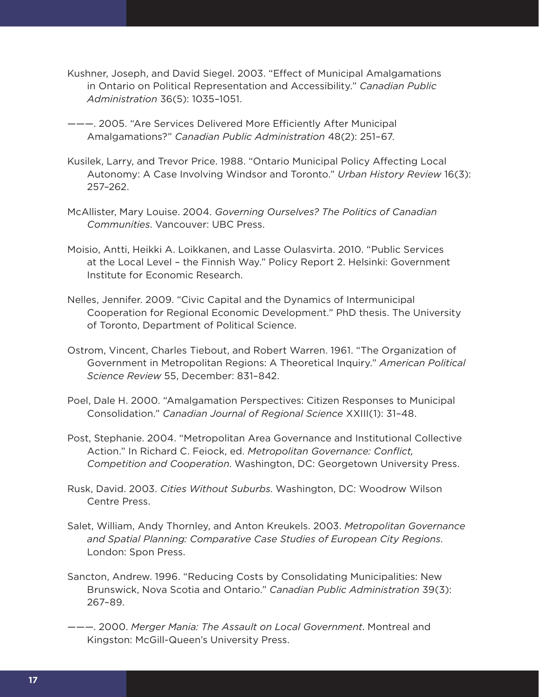- Kushner, Joseph, and David Siegel. 2003. "Effect of Municipal Amalgamations in Ontario on Political Representation and Accessibility." *Canadian Public Administration* 36(5): 1035–1051.
- ———. 2005. "Are Services Delivered More Efficiently After Municipal Amalgamations?" *Canadian Public Administration* 48(2): 251–67.
- Kusilek, Larry, and Trevor Price. 1988. "Ontario Municipal Policy Affecting Local Autonomy: A Case Involving Windsor and Toronto." *Urban History Review* 16(3): 257–262.
- McAllister, Mary Louise. 2004. *Governing Ourselves? The Politics of Canadian Communities*. Vancouver: UBC Press.
- Moisio, Antti, Heikki A. Loikkanen, and Lasse Oulasvirta. 2010. "Public Services at the Local Level – the Finnish Way." Policy Report 2. Helsinki: Government Institute for Economic Research.
- Nelles, Jennifer. 2009. "Civic Capital and the Dynamics of Intermunicipal Cooperation for Regional Economic Development." PhD thesis. The University of Toronto, Department of Political Science.
- Ostrom, Vincent, Charles Tiebout, and Robert Warren. 1961. "The Organization of Government in Metropolitan Regions: A Theoretical Inquiry." *American Political Science Review* 55, December: 831–842.
- Poel, Dale H. 2000. "Amalgamation Perspectives: Citizen Responses to Municipal Consolidation." *Canadian Journal of Regional Science* XXIII(1): 31–48.
- Post, Stephanie. 2004. "Metropolitan Area Governance and Institutional Collective Action." In Richard C. Feiock, ed. *Metropolitan Governance: Conflict, Competition and Cooperation*. Washington, DC: Georgetown University Press.
- Rusk, David. 2003. *Cities Without Suburbs*. Washington, DC: Woodrow Wilson Centre Press.
- Salet, William, Andy Thornley, and Anton Kreukels. 2003. *Metropolitan Governance and Spatial Planning: Comparative Case Studies of European City Regions*. London: Spon Press.
- Sancton, Andrew. 1996. "Reducing Costs by Consolidating Municipalities: New Brunswick, Nova Scotia and Ontario." *Canadian Public Administration* 39(3): 267–89.
- ———. 2000. *Merger Mania: The Assault on Local Government*. Montreal and Kingston: McGill-Queen's University Press.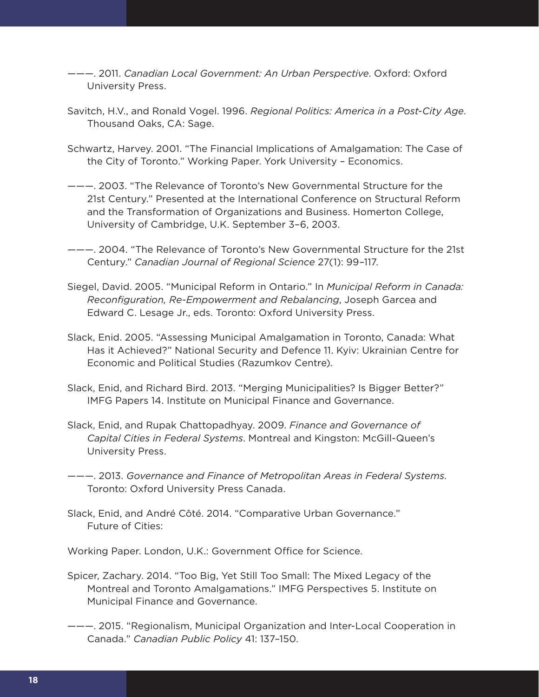- ———. 2011. *Canadian Local Government: An Urban Perspective*. Oxford: Oxford University Press.
- Savitch, H.V., and Ronald Vogel. 1996. *Regional Politics: America in a Post-City Age*. Thousand Oaks, CA: Sage.
- Schwartz, Harvey. 2001. "The Financial Implications of Amalgamation: The Case of the City of Toronto." Working Paper. York University – Economics.
- ———. 2003. "The Relevance of Toronto's New Governmental Structure for the 21st Century." Presented at the International Conference on Structural Reform and the Transformation of Organizations and Business. Homerton College, University of Cambridge, U.K. September 3–6, 2003.
- ———. 2004. "The Relevance of Toronto's New Governmental Structure for the 21st Century." *Canadian Journal of Regional Science* 27(1): 99–117.
- Siegel, David. 2005. "Municipal Reform in Ontario." In *Municipal Reform in Canada: Reconfiguration, Re-Empowerment and Rebalancing*, Joseph Garcea and Edward C. Lesage Jr., eds. Toronto: Oxford University Press.
- Slack, Enid. 2005. "Assessing Municipal Amalgamation in Toronto, Canada: What Has it Achieved?" National Security and Defence 11. Kyiv: Ukrainian Centre for Economic and Political Studies (Razumkov Centre).
- Slack, Enid, and Richard Bird. 2013. "Merging Municipalities? Is Bigger Better?" IMFG Papers 14. Institute on Municipal Finance and Governance.
- Slack, Enid, and Rupak Chattopadhyay. 2009. *Finance and Governance of Capital Cities in Federal Systems*. Montreal and Kingston: McGill-Queen's University Press.
- ———. 2013. *Governance and Finance of Metropolitan Areas in Federal Systems*. Toronto: Oxford University Press Canada.
- Slack, Enid, and André Côté. 2014. "Comparative Urban Governance." Future of Cities:

Working Paper. London, U.K.: Government Office for Science.

- Spicer, Zachary. 2014. "Too Big, Yet Still Too Small: The Mixed Legacy of the Montreal and Toronto Amalgamations." IMFG Perspectives 5. Institute on Municipal Finance and Governance.
- ———. 2015. "Regionalism, Municipal Organization and Inter-Local Cooperation in Canada." *Canadian Public Policy* 41: 137–150.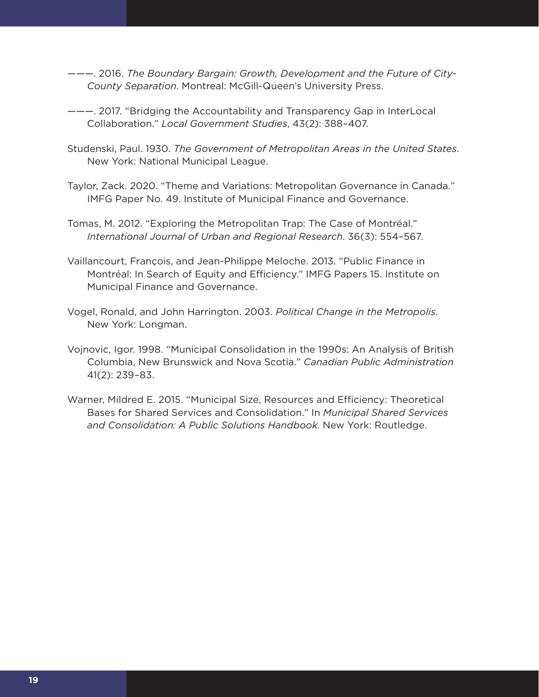- ———. 2016. *The Boundary Bargain: Growth, Development and the Future of City-County Separation*. Montreal: McGill-Queen's University Press.
- ———. 2017. "Bridging the Accountability and Transparency Gap in InterLocal Collaboration." *Local Government Studies*, 43(2): 388–407.
- Studenski, Paul. 1930. *The Government of Metropolitan Areas in the United States*. New York: National Municipal League.
- Taylor, Zack. 2020. "Theme and Variations: Metropolitan Governance in Canada." IMFG Paper No. 49. Institute of Municipal Finance and Governance.
- Tomas, M. 2012. "Exploring the Metropolitan Trap: The Case of Montréal." *International Journal of Urban and Regional Research*. 36(3): 554–567.
- Vaillancourt, François, and Jean-Philippe Meloche. 2013. "Public Finance in Montréal: In Search of Equity and Efficiency." IMFG Papers 15. Institute on Municipal Finance and Governance.
- Vogel, Ronald, and John Harrington. 2003. *Political Change in the Metropolis*. New York: Longman.
- Vojnovic, Igor. 1998. "Municipal Consolidation in the 1990s: An Analysis of British Columbia, New Brunswick and Nova Scotia." *Canadian Public Administration* 41(2): 239–83.
- Warner, Mildred E. 2015. "Municipal Size, Resources and Efficiency: Theoretical Bases for Shared Services and Consolidation." In *Municipal Shared Services and Consolidation: A Public Solutions Handbook*. New York: Routledge.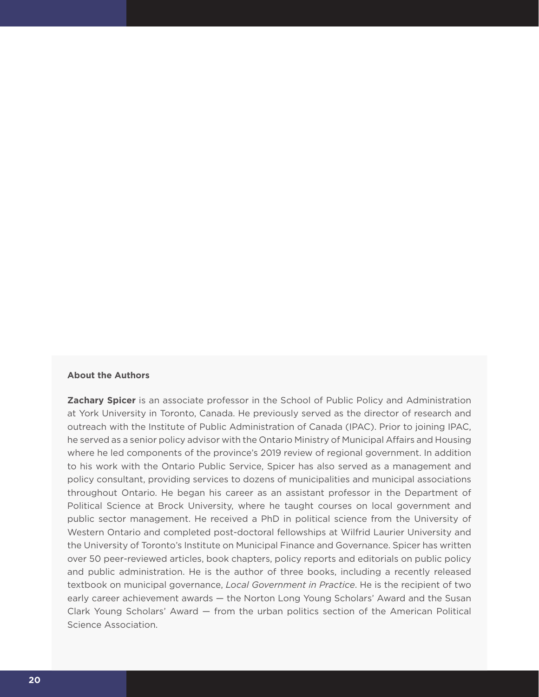#### **About the Authors**

**Zachary Spicer** is an associate professor in the School of Public Policy and Administration at York University in Toronto, Canada. He previously served as the director of research and outreach with the Institute of Public Administration of Canada (IPAC). Prior to joining IPAC, he served as a senior policy advisor with the Ontario Ministry of Municipal Affairs and Housing where he led components of the province's 2019 review of regional government. In addition to his work with the Ontario Public Service, Spicer has also served as a management and policy consultant, providing services to dozens of municipalities and municipal associations throughout Ontario. He began his career as an assistant professor in the Department of Political Science at Brock University, where he taught courses on local government and public sector management. He received a PhD in political science from the University of Western Ontario and completed post-doctoral fellowships at Wilfrid Laurier University and the University of Toronto's Institute on Municipal Finance and Governance. Spicer has written over 50 peer-reviewed articles, book chapters, policy reports and editorials on public policy and public administration. He is the author of three books, including a recently released textbook on municipal governance, *Local Government in Practice*. He is the recipient of two early career achievement awards — the Norton Long Young Scholars' Award and the Susan Clark Young Scholars' Award — from the urban politics section of the American Political Science Association.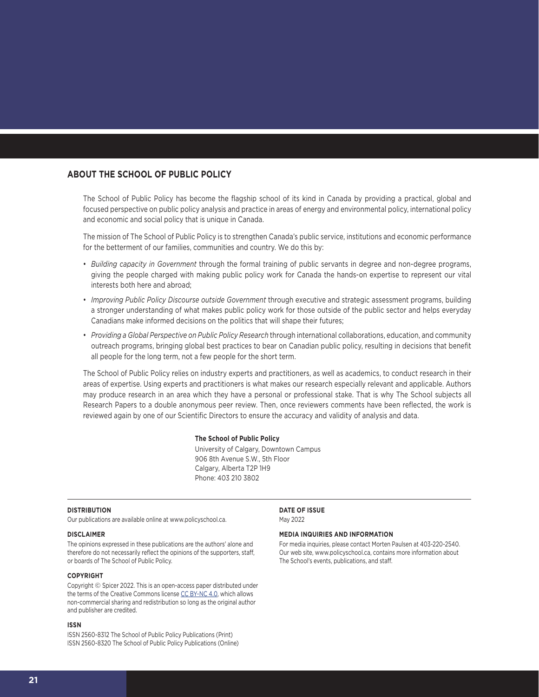### **ABOUT THE SCHOOL OF PUBLIC POLICY**

The School of Public Policy has become the flagship school of its kind in Canada by providing a practical, global and focused perspective on public policy analysis and practice in areas of energy and environmental policy, international policy and economic and social policy that is unique in Canada.

The mission of The School of Public Policy is to strengthen Canada's public service, institutions and economic performance for the betterment of our families, communities and country. We do this by:

- *Building capacity in Government* through the formal training of public servants in degree and non-degree programs, giving the people charged with making public policy work for Canada the hands-on expertise to represent our vital interests both here and abroad;
- *Improving Public Policy Discourse outside Government* through executive and strategic assessment programs, building a stronger understanding of what makes public policy work for those outside of the public sector and helps everyday Canadians make informed decisions on the politics that will shape their futures;
- *Providing a Global Perspective on Public Policy Research* through international collaborations, education, and community outreach programs, bringing global best practices to bear on Canadian public policy, resulting in decisions that benefit all people for the long term, not a few people for the short term.

The School of Public Policy relies on industry experts and practitioners, as well as academics, to conduct research in their areas of expertise. Using experts and practitioners is what makes our research especially relevant and applicable. Authors may produce research in an area which they have a personal or professional stake. That is why The School subjects all Research Papers to a double anonymous peer review. Then, once reviewers comments have been reflected, the work is reviewed again by one of our Scientific Directors to ensure the accuracy and validity of analysis and data.

#### **The School of Public Policy**

University of Calgary, Downtown Campus 906 8th Avenue S.W., 5th Floor Calgary, Alberta T2P 1H9 Phone: 403 210 3802

#### **DISTRIBUTION**

Our publications are available online at www.policyschool.ca.

#### **DISCLAIMER**

The opinions expressed in these publications are the authors' alone and therefore do not necessarily reflect the opinions of the supporters, staff, or boards of The School of Public Policy.

#### **COPYRIGHT**

Copyright © Spicer 2022. This is an open-access paper distributed under the terms of the Creative Commons license [CC BY-NC 4.0](https://creativecommons.org/licenses/by-nc/4.0/), which allows non-commercial sharing and redistribution so long as the original author and publisher are credited.

#### **ISSN**

ISSN 2560-8312 The School of Public Policy Publications (Print) ISSN 2560-8320 The School of Public Policy Publications (Online) **DATE OF ISSUE** May 2022

#### **MEDIA INQUIRIES AND INFORMATION**

For media inquiries, please contact Morten Paulsen at 403-220-2540. Our web site, www.policyschool.ca, contains more information about The School's events, publications, and staff.